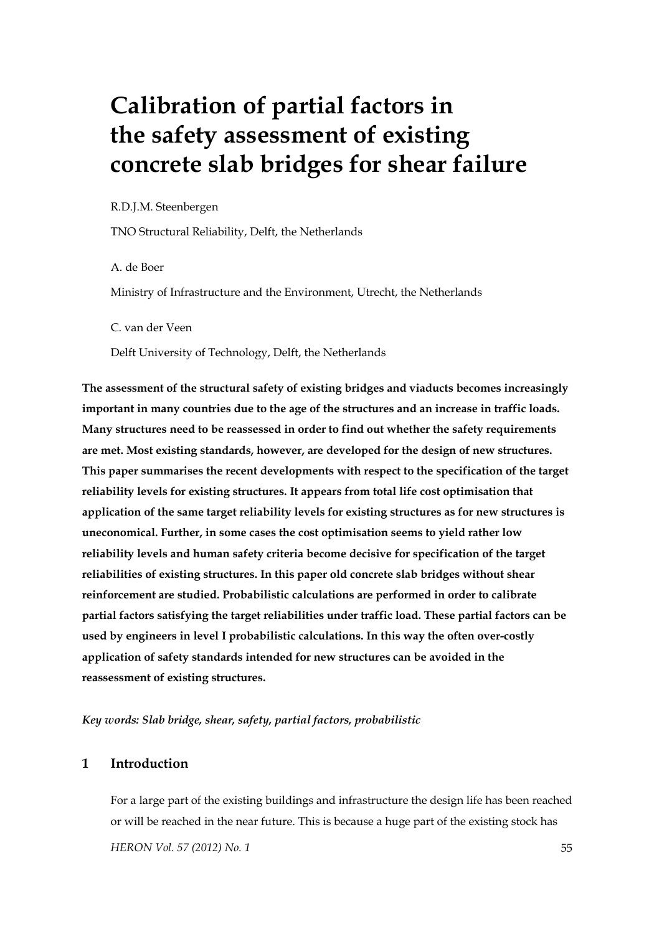# **Calibration of partial factors in the safety assessment of existing concrete slab bridges for shear failure**

#### R.D.J.M. Steenbergen

TNO Structural Reliability, Delft, the Netherlands

A. de Boer

Ministry of Infrastructure and the Environment, Utrecht, the Netherlands

C. van der Veen

Delft University of Technology, Delft, the Netherlands

**The assessment of the structural safety of existing bridges and viaducts becomes increasingly important in many countries due to the age of the structures and an increase in traffic loads. Many structures need to be reassessed in order to find out whether the safety requirements are met. Most existing standards, however, are developed for the design of new structures. This paper summarises the recent developments with respect to the specification of the target reliability levels for existing structures. It appears from total life cost optimisation that application of the same target reliability levels for existing structures as for new structures is uneconomical. Further, in some cases the cost optimisation seems to yield rather low reliability levels and human safety criteria become decisive for specification of the target reliabilities of existing structures. In this paper old concrete slab bridges without shear reinforcement are studied. Probabilistic calculations are performed in order to calibrate partial factors satisfying the target reliabilities under traffic load. These partial factors can be used by engineers in level I probabilistic calculations. In this way the often over-costly application of safety standards intended for new structures can be avoided in the reassessment of existing structures.** 

*Key words: Slab bridge, shear, safety, partial factors, probabilistic* 

# **1 Introduction**

*HERON Vol. 57 (2012) No. 1* 55 For a large part of the existing buildings and infrastructure the design life has been reached or will be reached in the near future. This is because a huge part of the existing stock has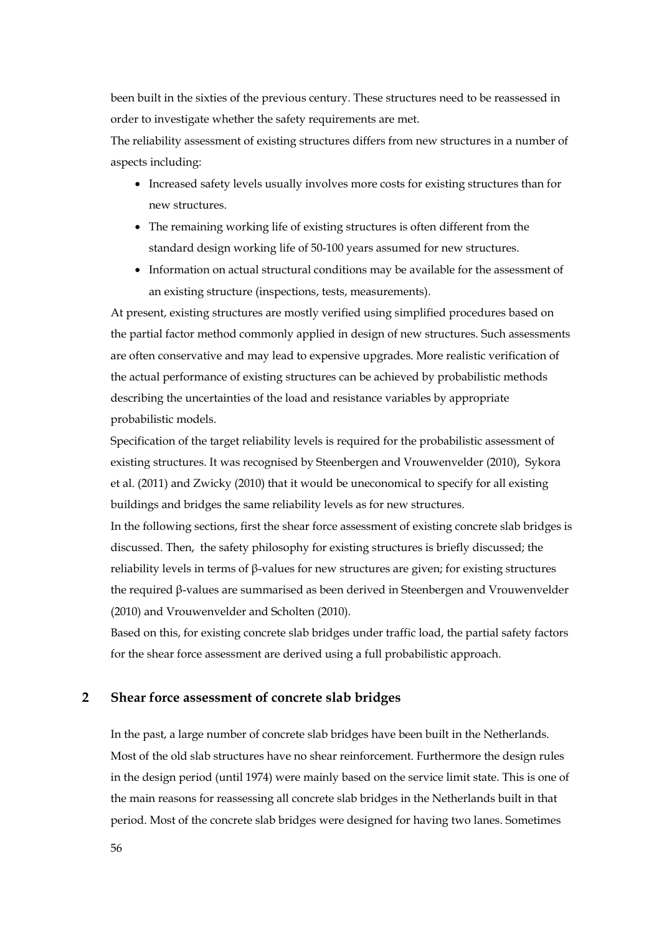been built in the sixties of the previous century. These structures need to be reassessed in order to investigate whether the safety requirements are met.

The reliability assessment of existing structures differs from new structures in a number of aspects including:

- Increased safety levels usually involves more costs for existing structures than for new structures.
- The remaining working life of existing structures is often different from the standard design working life of 50-100 years assumed for new structures.
- Information on actual structural conditions may be available for the assessment of an existing structure (inspections, tests, measurements).

At present, existing structures are mostly verified using simplified procedures based on the partial factor method commonly applied in design of new structures. Such assessments are often conservative and may lead to expensive upgrades. More realistic verification of the actual performance of existing structures can be achieved by probabilistic methods describing the uncertainties of the load and resistance variables by appropriate probabilistic models.

Specification of the target reliability levels is required for the probabilistic assessment of existing structures. It was recognised by Steenbergen and Vrouwenvelder (2010), Sykora et al. (2011) and Zwicky (2010) that it would be uneconomical to specify for all existing buildings and bridges the same reliability levels as for new structures.

In the following sections, first the shear force assessment of existing concrete slab bridges is discussed. Then, the safety philosophy for existing structures is briefly discussed; the reliability levels in terms of β-values for new structures are given; for existing structures the required β-values are summarised as been derived in Steenbergen and Vrouwenvelder (2010) and Vrouwenvelder and Scholten (2010).

Based on this, for existing concrete slab bridges under traffic load, the partial safety factors for the shear force assessment are derived using a full probabilistic approach.

## **2 Shear force assessment of concrete slab bridges**

In the past, a large number of concrete slab bridges have been built in the Netherlands. Most of the old slab structures have no shear reinforcement. Furthermore the design rules in the design period (until 1974) were mainly based on the service limit state. This is one of the main reasons for reassessing all concrete slab bridges in the Netherlands built in that period. Most of the concrete slab bridges were designed for having two lanes. Sometimes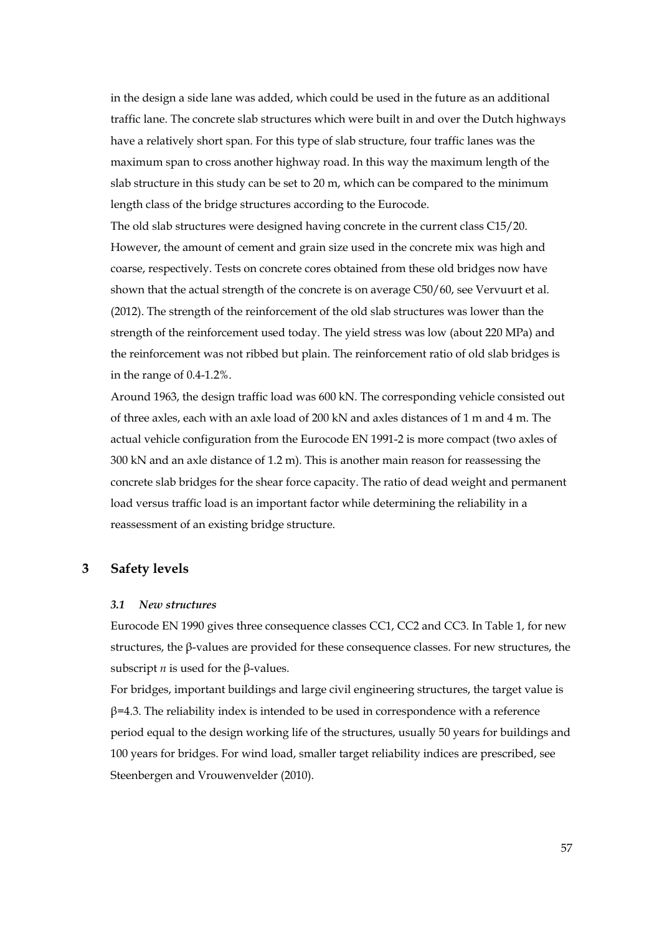in the design a side lane was added, which could be used in the future as an additional traffic lane. The concrete slab structures which were built in and over the Dutch highways have a relatively short span. For this type of slab structure, four traffic lanes was the maximum span to cross another highway road. In this way the maximum length of the slab structure in this study can be set to 20 m, which can be compared to the minimum length class of the bridge structures according to the Eurocode.

The old slab structures were designed having concrete in the current class C15/20. However, the amount of cement and grain size used in the concrete mix was high and coarse, respectively. Tests on concrete cores obtained from these old bridges now have shown that the actual strength of the concrete is on average C50/60, see Vervuurt et al. (2012). The strength of the reinforcement of the old slab structures was lower than the strength of the reinforcement used today. The yield stress was low (about 220 MPa) and the reinforcement was not ribbed but plain. The reinforcement ratio of old slab bridges is in the range of 0.4-1.2%.

Around 1963, the design traffic load was 600 kN. The corresponding vehicle consisted out of three axles, each with an axle load of 200 kN and axles distances of 1 m and 4 m. The actual vehicle configuration from the Eurocode EN 1991-2 is more compact (two axles of 300 kN and an axle distance of 1.2 m). This is another main reason for reassessing the concrete slab bridges for the shear force capacity. The ratio of dead weight and permanent load versus traffic load is an important factor while determining the reliability in a reassessment of an existing bridge structure.

# **3 Safety levels**

#### *3.1 New structures*

Eurocode EN 1990 gives three consequence classes CC1, CC2 and CC3. In Table 1, for new structures, the β-values are provided for these consequence classes. For new structures, the subscript *n* is used for the β-values.

For bridges, important buildings and large civil engineering structures, the target value is  $\beta$ =4.3. The reliability index is intended to be used in correspondence with a reference period equal to the design working life of the structures, usually 50 years for buildings and 100 years for bridges. For wind load, smaller target reliability indices are prescribed, see Steenbergen and Vrouwenvelder (2010).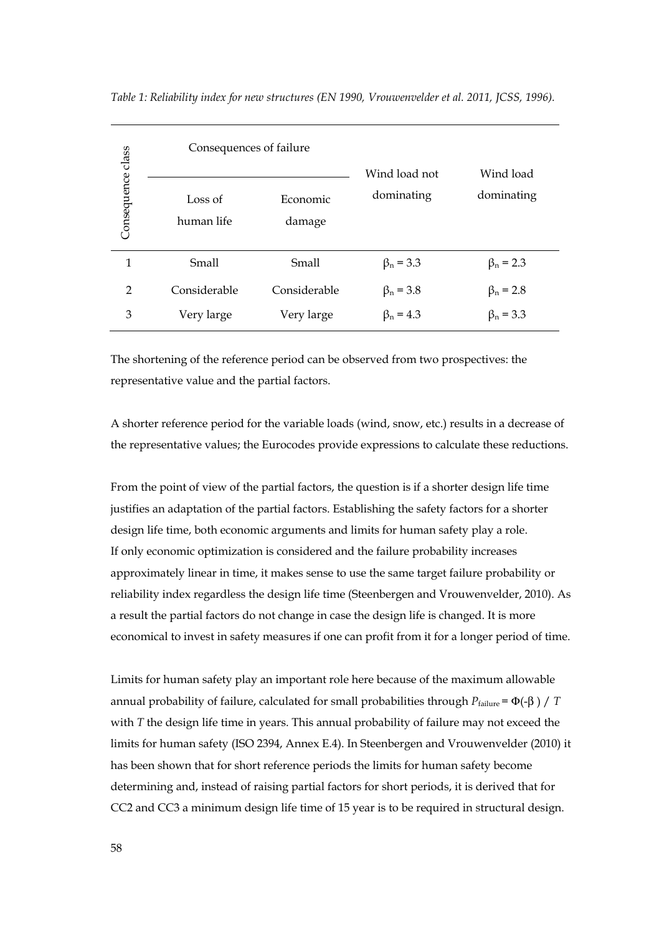|                   | Consequences of failure                                                                                                                                                                                                                                                                                                             |                    |                             | Wind load<br>dominating                                                                                                                                                                      |  |
|-------------------|-------------------------------------------------------------------------------------------------------------------------------------------------------------------------------------------------------------------------------------------------------------------------------------------------------------------------------------|--------------------|-----------------------------|----------------------------------------------------------------------------------------------------------------------------------------------------------------------------------------------|--|
| Consequence class | Loss of<br>human life                                                                                                                                                                                                                                                                                                               | Economic<br>damage | Wind load not<br>dominating |                                                                                                                                                                                              |  |
| $\mathbf{1}$      | Small                                                                                                                                                                                                                                                                                                                               | Small              | $\beta_n = 3.3$             | $\beta_n = 2.3$                                                                                                                                                                              |  |
| 2                 | Considerable                                                                                                                                                                                                                                                                                                                        | Considerable       | $\beta_n = 3.8$             | $\beta_n = 2.8$                                                                                                                                                                              |  |
| 3                 | Very large                                                                                                                                                                                                                                                                                                                          | Very large         | $\beta_n = 4.3$             | $\beta_n = 3.3$                                                                                                                                                                              |  |
|                   | The shortening of the reference period can be observed from two prospectives: the<br>representative value and the partial factors.<br>From the point of view of the partial factors, the question is if a shorter design life time<br>justifies an adaptation of the partial factors. Establishing the safety factors for a shorter |                    |                             | A shorter reference period for the variable loads (wind, snow, etc.) results in a decrease of<br>the representative values; the Eurocodes provide expressions to calculate these reductions. |  |
|                   | design life time, both economic arguments and limits for human safety play a role.                                                                                                                                                                                                                                                  |                    |                             |                                                                                                                                                                                              |  |
|                   | If only economic optimization is considered and the failure probability increases                                                                                                                                                                                                                                                   |                    |                             |                                                                                                                                                                                              |  |
|                   | approximately linear in time, it makes sense to use the same target failure probability or                                                                                                                                                                                                                                          |                    |                             |                                                                                                                                                                                              |  |
|                   | a result the partial factors do not change in case the design life is changed. It is more                                                                                                                                                                                                                                           |                    |                             | reliability index regardless the design life time (Steenbergen and Vrouwenvelder, 2010). A                                                                                                   |  |
|                   |                                                                                                                                                                                                                                                                                                                                     |                    |                             | economical to invest in safety measures if one can profit from it for a longer period of time                                                                                                |  |
|                   | Limits for human safety play an important role here because of the maximum allowable                                                                                                                                                                                                                                                |                    |                             |                                                                                                                                                                                              |  |
|                   | annual probability of failure, calculated for small probabilities through $P_{\text{failure}} = \Phi(-\beta) / T$                                                                                                                                                                                                                   |                    |                             |                                                                                                                                                                                              |  |
|                   | with $T$ the design life time in years. This annual probability of failure may not exceed the                                                                                                                                                                                                                                       |                    |                             |                                                                                                                                                                                              |  |
|                   |                                                                                                                                                                                                                                                                                                                                     |                    |                             | limits for human safety (ISO 2394, Annex E.4). In Steenbergen and Vrouwenvelder (2010) i                                                                                                     |  |
|                   | has been shown that for short reference periods the limits for human safety become                                                                                                                                                                                                                                                  |                    |                             |                                                                                                                                                                                              |  |
|                   | determining and, instead of raising partial factors for short periods, it is derived that for                                                                                                                                                                                                                                       |                    |                             |                                                                                                                                                                                              |  |
|                   |                                                                                                                                                                                                                                                                                                                                     |                    |                             | CC2 and CC3 a minimum design life time of 15 year is to be required in structural design.                                                                                                    |  |

*Table 1: Reliability index for new structures (EN 1990, Vrouwenvelder et al. 2011, JCSS, 1996).*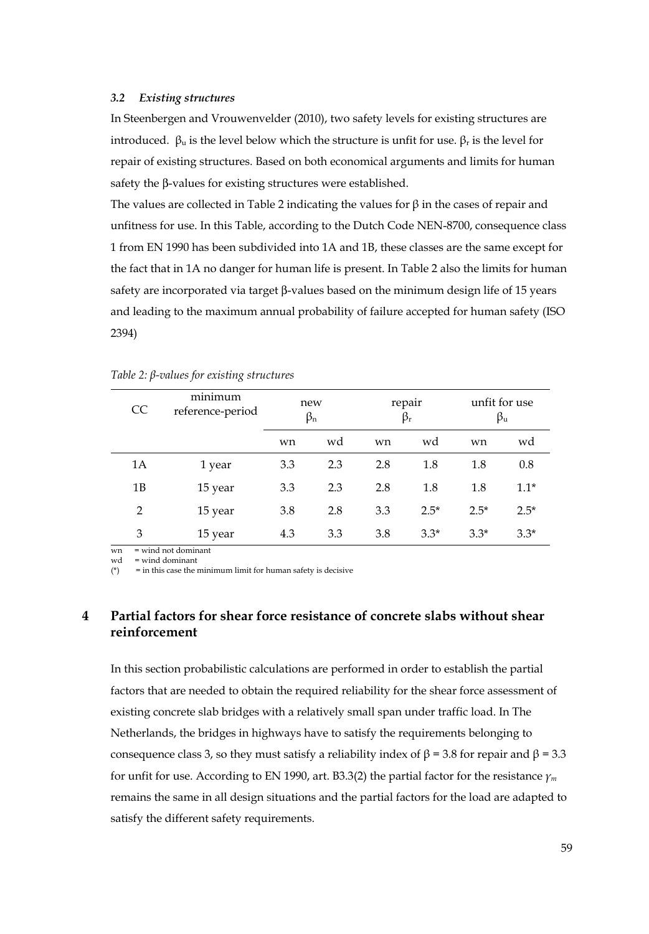#### *3.2 Existing structures*

In Steenbergen and Vrouwenvelder (2010), two safety levels for existing structures are introduced.  $β<sub>u</sub>$  is the level below which the structure is unfit for use.  $β<sub>r</sub>$  is the level for repair of existing structures. Based on both economical arguments and limits for human safety the β-values for existing structures were established.

The values are collected in Table 2 indicating the values for  $\beta$  in the cases of repair and unfitness for use. In this Table, according to the Dutch Code NEN-8700, consequence class 1 from EN 1990 has been subdivided into 1A and 1B, these classes are the same except for the fact that in 1A no danger for human life is present. In Table 2 also the limits for human safety are incorporated via target β-values based on the minimum design life of 15 years and leading to the maximum annual probability of failure accepted for human safety (ISO 2394)

| <sub>CC</sub>  | minimum<br>reference-period | new<br>$\beta_n$ |     | repair<br>$\beta_{\rm r}$ |        | unfit for use<br>βu |        |
|----------------|-----------------------------|------------------|-----|---------------------------|--------|---------------------|--------|
|                |                             | wn               | wd  | wn                        | wd     | wn                  | wd     |
| 1A             | 1 year                      | 3.3              | 2.3 | 2.8                       | 1.8    | 1.8                 | 0.8    |
| 1B             | 15 year                     | 3.3              | 2.3 | 2.8                       | 1.8    | 1.8                 | $1.1*$ |
| $\overline{2}$ | 15 year                     | 3.8              | 2.8 | 3.3                       | $2.5*$ | $2.5*$              | $2.5*$ |
| 3              | 15 year                     | 4.3              | 3.3 | 3.8                       | $3.3*$ | $3.3*$              | $3.3*$ |

|  |  |  |  | Table $2: \beta$ -values for existing structures |
|--|--|--|--|--------------------------------------------------|
|--|--|--|--|--------------------------------------------------|

 $wn = wind not dominant$ wd = wind dominant

( $*$ ) = in this case the minimum limit for human safety is decisive

# **4 Partial factors for shear force resistance of concrete slabs without shear reinforcement**

In this section probabilistic calculations are performed in order to establish the partial factors that are needed to obtain the required reliability for the shear force assessment of existing concrete slab bridges with a relatively small span under traffic load. In The Netherlands, the bridges in highways have to satisfy the requirements belonging to consequence class 3, so they must satisfy a reliability index of  $β = 3.8$  for repair and  $β = 3.3$ for unfit for use. According to EN 1990, art. B3.3(2) the partial factor for the resistance *γ<sup>m</sup>* remains the same in all design situations and the partial factors for the load are adapted to satisfy the different safety requirements.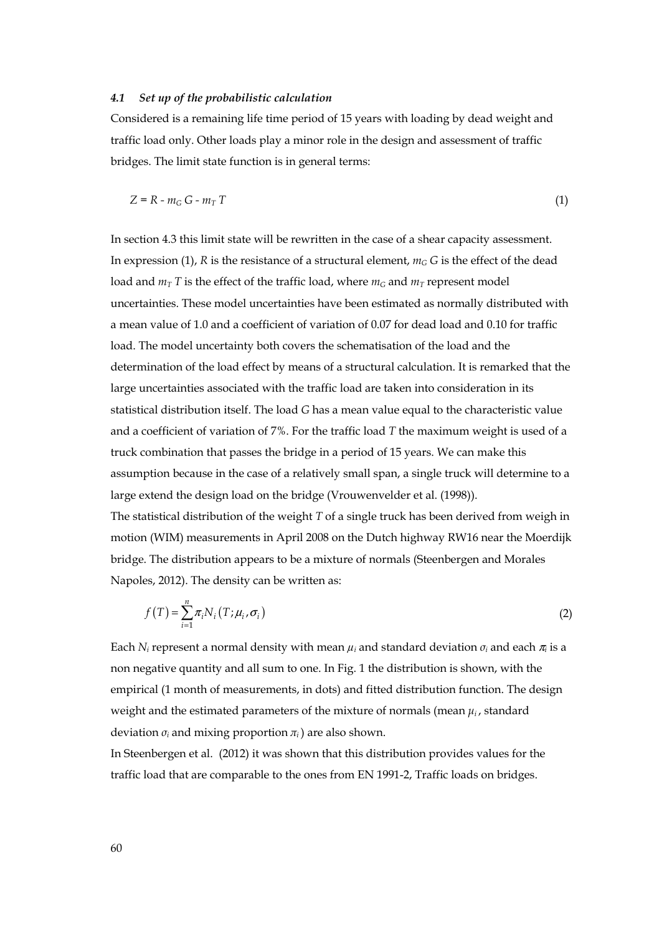#### *4.1 Set up of the probabilistic calculation*

Considered is a remaining life time period of 15 years with loading by dead weight and traffic load only. Other loads play a minor role in the design and assessment of traffic bridges. The limit state function is in general terms:

$$
Z = R - m_G G - m_T T \tag{1}
$$

In section 4.3 this limit state will be rewritten in the case of a shear capacity assessment. In expression (1),  $R$  is the resistance of a structural element,  $m_G G$  is the effect of the dead load and  $m<sub>T</sub>$  T is the effect of the traffic load, where  $m<sub>G</sub>$  and  $m<sub>T</sub>$  represent model uncertainties. These model uncertainties have been estimated as normally distributed with a mean value of 1.0 and a coefficient of variation of 0.07 for dead load and 0.10 for traffic load. The model uncertainty both covers the schematisation of the load and the determination of the load effect by means of a structural calculation. It is remarked that the large uncertainties associated with the traffic load are taken into consideration in its statistical distribution itself. The load *G* has a mean value equal to the characteristic value and a coefficient of variation of 7%. For the traffic load *T* the maximum weight is used of a truck combination that passes the bridge in a period of 15 years. We can make this assumption because in the case of a relatively small span, a single truck will determine to a large extend the design load on the bridge (Vrouwenvelder et al. (1998)).

The statistical distribution of the weight *T* of a single truck has been derived from weigh in motion (WIM) measurements in April 2008 on the Dutch highway RW16 near the Moerdijk bridge. The distribution appears to be a mixture of normals (Steenbergen and Morales Napoles, 2012). The density can be written as:

$$
f(T) = \sum_{i=1}^{n} \pi_i N_i(T; \mu_i, \sigma_i)
$$
 (2)

Each *N<sub>i</sub>* represent a normal density with mean  $\mu_i$  and standard deviation  $\sigma_i$  and each  $\pi_i$  is a non negative quantity and all sum to one. In Fig. 1 the distribution is shown, with the empirical (1 month of measurements, in dots) and fitted distribution function. The design weight and the estimated parameters of the mixture of normals (mean  $\mu_i$ , standard deviation  $\sigma_i$  and mixing proportion  $\pi_i$ ) are also shown.

In Steenbergen et al. (2012) it was shown that this distribution provides values for the traffic load that are comparable to the ones from EN 1991-2, Traffic loads on bridges.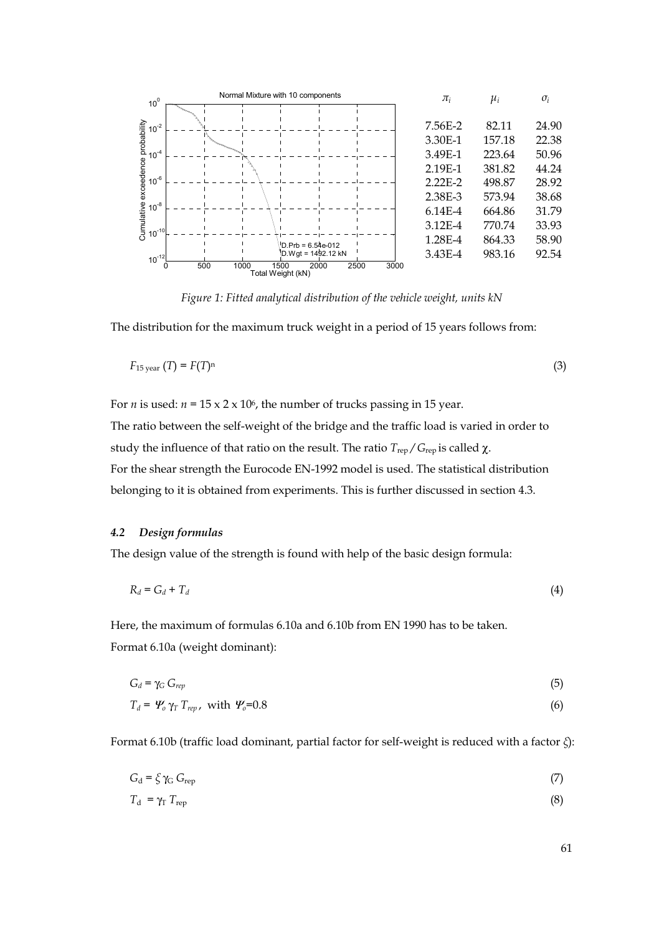

*Figure 1: Fitted analytical distribution of the vehicle weight, units kN* 

The distribution for the maximum truck weight in a period of 15 years follows from:

$$
F_{15\,\text{year}}\,(T) = F(T)^n\tag{3}
$$

For *n* is used:  $n = 15 \times 2 \times 10^6$ , the number of trucks passing in 15 year.

The ratio between the self-weight of the bridge and the traffic load is varied in order to study the influence of that ratio on the result. The ratio *T*rep */ G*rep is called χ. For the shear strength the Eurocode EN-1992 model is used. The statistical distribution belonging to it is obtained from experiments. This is further discussed in section 4.3.

#### *4.2 Design formulas*

The design value of the strength is found with help of the basic design formula:

$$
R_d = G_d + T_d \tag{4}
$$

Here, the maximum of formulas 6.10a and 6.10b from EN 1990 has to be taken. Format 6.10a (weight dominant):

$$
G_d = \gamma_G G_{rep}
$$
\n
$$
T_d = \Psi_o \gamma_T T_{rep}
$$
, with  $\Psi_o = 0.8$ \n
$$
(6)
$$

Format 6.10b (traffic load dominant, partial factor for self-weight is reduced with a factor *ξ*):

$$
G_d = \zeta \gamma_G G_{\text{rep}} \tag{7}
$$

$$
T_{\rm d} = \gamma_{\rm T} T_{\rm rep} \tag{8}
$$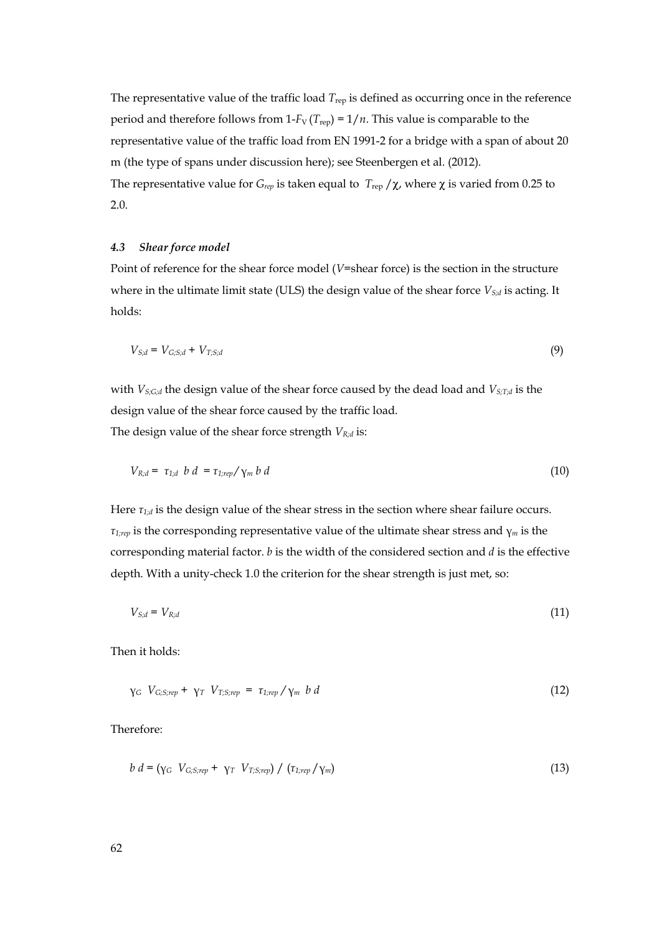The representative value of the traffic load  $T_{\text{rep}}$  is defined as occurring once in the reference period and therefore follows from 1- $F_V$  ( $T_{rep}$ ) = 1/ $n$ . This value is comparable to the representative value of the traffic load from EN 1991-2 for a bridge with a span of about 20 m (the type of spans under discussion here); see Steenbergen et al. (2012). The representative value for  $G_{rep}$  is taken equal to  $T_{rep}/\chi$ , where  $\chi$  is varied from 0.25 to 2.0.

#### *4.3 Shear force model*

Point of reference for the shear force model (*V*=shear force) is the section in the structure where in the ultimate limit state (ULS) the design value of the shear force  $V_{S,d}$  is acting. It holds:

$$
V_{S,d} = V_{G;S,d} + V_{T;S,d} \tag{9}
$$

with *V<sub>S;G;d</sub>* the design value of the shear force caused by the dead load and *V<sub>S;T;d</sub>* is the design value of the shear force caused by the traffic load.

The design value of the shear force strength  $V_{R,d}$  is:

$$
V_{R,d} = \tau_{1,d} \ b \ d = \tau_{1,rep} / \gamma_m \ b \ d \tag{10}
$$

Here  $\tau_{1:d}$  is the design value of the shear stress in the section where shear failure occurs. *τ1;rep* is the corresponding representative value of the ultimate shear stress and γ*m* is the corresponding material factor. *b* is the width of the considered section and *d* is the effective depth. With a unity-check 1.0 the criterion for the shear strength is just met, so:

$$
V_{S;d} = V_{R;d} \tag{11}
$$

Then it holds:

$$
\gamma_G \ V_{G;S;rep} + \gamma_T \ V_{T;S;rep} = \tau_{1;rep} / \gamma_m \ b \ d \tag{12}
$$

Therefore:

$$
b d = (\gamma_G V_{G;S;rep} + \gamma_T V_{T;S;rep}) / (\tau_{1;rep}/\gamma_m)
$$
\n(13)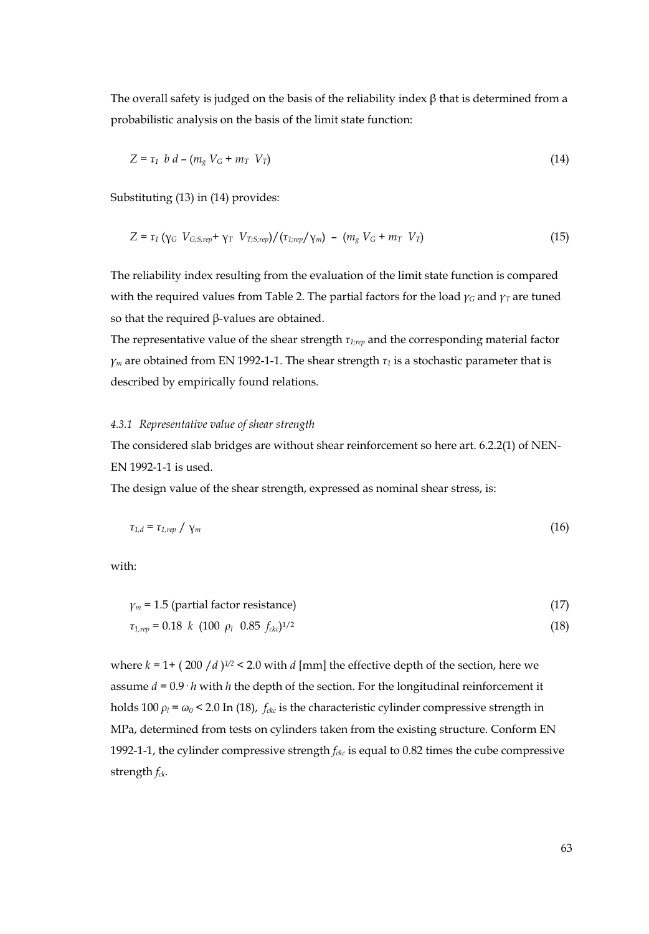The overall safety is judged on the basis of the reliability index  $\beta$  that is determined from a probabilistic analysis on the basis of the limit state function:

$$
Z = \tau_1 \ b \ d - (m_g \ V_G + m_T \ V_T) \tag{14}
$$

Substituting (13) in (14) provides:

$$
Z = \tau_1 \left( \gamma_G \ V_{G,S,rep} + \gamma_T \ V_{T,S,rep} \right) / (\tau_{1,rep} / \gamma_m) - (m_g \ V_G + m_T \ V_T)
$$
 (15)

The reliability index resulting from the evaluation of the limit state function is compared with the required values from Table 2. The partial factors for the load  $\gamma_G$  and  $\gamma_T$  are tuned so that the required β-values are obtained.

The representative value of the shear strength *τ1;rep* and the corresponding material factor  $\gamma_m$  are obtained from EN 1992-1-1. The shear strength  $\tau_1$  is a stochastic parameter that is described by empirically found relations.

### *4.3.1 Representative value of shear strength*

The considered slab bridges are without shear reinforcement so here art. 6.2.2(1) of NEN-EN 1992-1-1 is used.

The design value of the shear strength, expressed as nominal shear stress, is:

$$
\tau_{1,d} = \tau_{1,rep} / \gamma_m \tag{16}
$$

with:

$$
\gamma_m = 1.5 \text{ (partial factor resistance)} \tag{17}
$$
\n
$$
\tau_{1, rep} = 0.18 \quad k \text{ (100 } \rho_l \quad 0.85 \quad f_{\text{cfc}})^{1/2} \tag{18}
$$

where  $k = 1 + (200 / d)^{1/2}$  < 2.0 with  $d$  [mm] the effective depth of the section, here we assume  $d = 0.9 \cdot h$  with *h* the depth of the section. For the longitudinal reinforcement it holds 100  $\rho_l$  =  $\omega_0$  < 2.0 In (18),  $f_{ckc}$  is the characteristic cylinder compressive strength in MPa, determined from tests on cylinders taken from the existing structure. Conform EN 1992-1-1, the cylinder compressive strength  $f_{ckc}$  is equal to 0.82 times the cube compressive strength  $f_{ck}$ .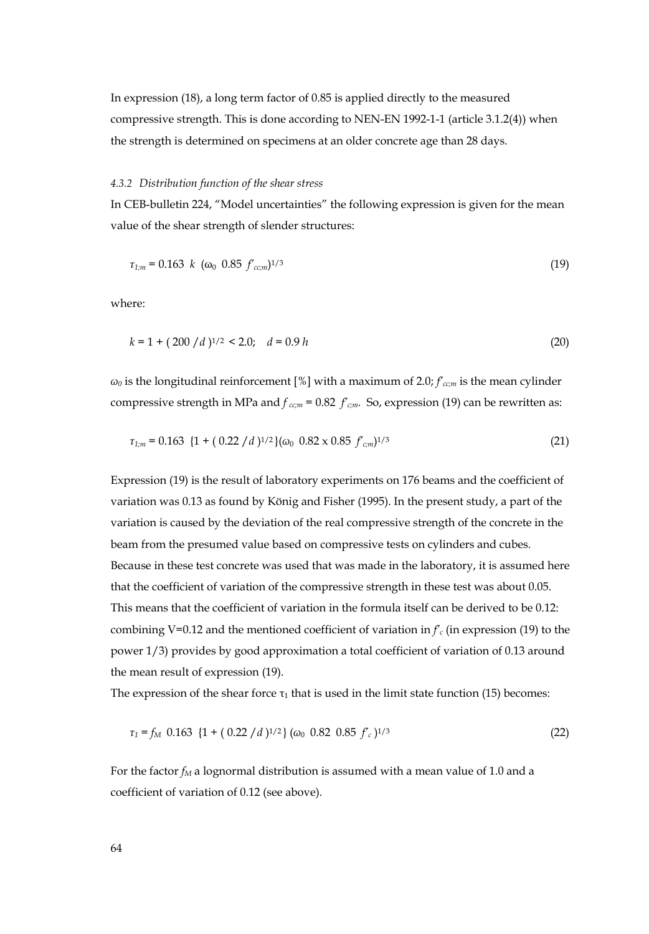In expression (18), a long term factor of 0.85 is applied directly to the measured compressive strength. This is done according to NEN-EN 1992-1-1 (article 3.1.2(4)) when the strength is determined on specimens at an older concrete age than 28 days.

#### *4.3.2 Distribution function of the shear stress*

In CEB-bulletin 224, "Model uncertainties" the following expression is given for the mean value of the shear strength of slender structures:

$$
\tau_{1;m} = 0.163 \ \ k \ \ (\omega_0 \ \ 0.85 \ \ f_{cc;m})^{1/3} \tag{19}
$$

where:

$$
k = 1 + (200/d)^{1/2} < 2.0; \quad d = 0.9 \, h \tag{20}
$$

*ω0* is the longitudinal reinforcement [%] with a maximum of 2.0; *f'cc;m* is the mean cylinder compressive strength in MPa and  $f_{ccm}$  = 0.82  $f_{cm}$ . So, expression (19) can be rewritten as:

$$
\tau_{1,m} = 0.163 \ \{1 + (0.22 \ / d)^{1/2}\} (\omega_0 \ 0.82 \times 0.85 \ f_{cm})^{1/3} \tag{21}
$$

Expression (19) is the result of laboratory experiments on 176 beams and the coefficient of variation was 0.13 as found by König and Fisher (1995). In the present study, a part of the variation is caused by the deviation of the real compressive strength of the concrete in the beam from the presumed value based on compressive tests on cylinders and cubes. Because in these test concrete was used that was made in the laboratory, it is assumed here that the coefficient of variation of the compressive strength in these test was about 0.05. This means that the coefficient of variation in the formula itself can be derived to be 0.12: combining V=0.12 and the mentioned coefficient of variation in  $f_c$  (in expression (19) to the power 1/3) provides by good approximation a total coefficient of variation of 0.13 around the mean result of expression (19).

The expression of the shear force  $\tau_1$  that is used in the limit state function (15) becomes:

$$
\tau_1 = f_M \quad 0.163 \quad \{1 + (0.22 \, / \, d)^{1/2}\} \, (\omega_0 \quad 0.82 \quad 0.85 \, f_c)^{1/3} \tag{22}
$$

For the factor  $f_M$  a lognormal distribution is assumed with a mean value of 1.0 and a coefficient of variation of 0.12 (see above).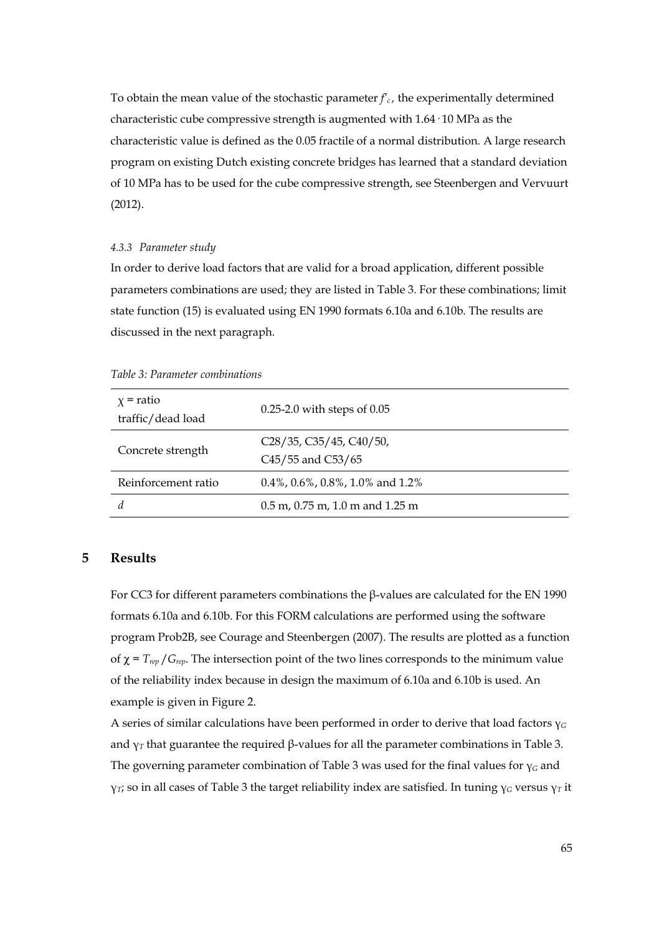To obtain the mean value of the stochastic parameter  $f_c$ , the experimentally determined characteristic cube compressive strength is augmented with 1.64· 10 MPa as the characteristic value is defined as the 0.05 fractile of a normal distribution. A large research program on existing Dutch existing concrete bridges has learned that a standard deviation of 10 MPa has to be used for the cube compressive strength, see Steenbergen and Vervuurt (2012).

#### *4.3.3 Parameter study*

In order to derive load factors that are valid for a broad application, different possible parameters combinations are used; they are listed in Table 3. For these combinations; limit state function (15) is evaluated using EN 1990 formats 6.10a and 6.10b. The results are discussed in the next paragraph.

| $x =$ ratio<br>traffic/dead load | $0.25-2.0$ with steps of $0.05$                       |
|----------------------------------|-------------------------------------------------------|
| Concrete strength                | $C28/35$ , $C35/45$ , $C40/50$ ,<br>C45/55 and C53/65 |
| Reinforcement ratio              | $0.4\%$ , $0.6\%$ , $0.8\%$ , $1.0\%$ and $1.2\%$     |
| d                                | $0.5$ m, $0.75$ m, $1.0$ m and $1.25$ m               |

*Table 3: Parameter combinations* 

# **5 Results**

For CC3 for different parameters combinations the β-values are calculated for the EN 1990 formats 6.10a and 6.10b. For this FORM calculations are performed using the software program Prob2B, see Courage and Steenbergen (2007). The results are plotted as a function of  $\chi = T_{\text{rep}}/G_{\text{rep}}$ . The intersection point of the two lines corresponds to the minimum value of the reliability index because in design the maximum of 6.10a and 6.10b is used. An example is given in Figure 2.

A series of similar calculations have been performed in order to derive that load factors γ*<sup>G</sup>* and  $\gamma_T$  that guarantee the required  $\beta$ -values for all the parameter combinations in Table 3. The governing parameter combination of Table 3 was used for the final values for γ*G* and γ*T*; so in all cases of Table 3 the target reliability index are satisfied. In tuning γ*G* versus γ*T* it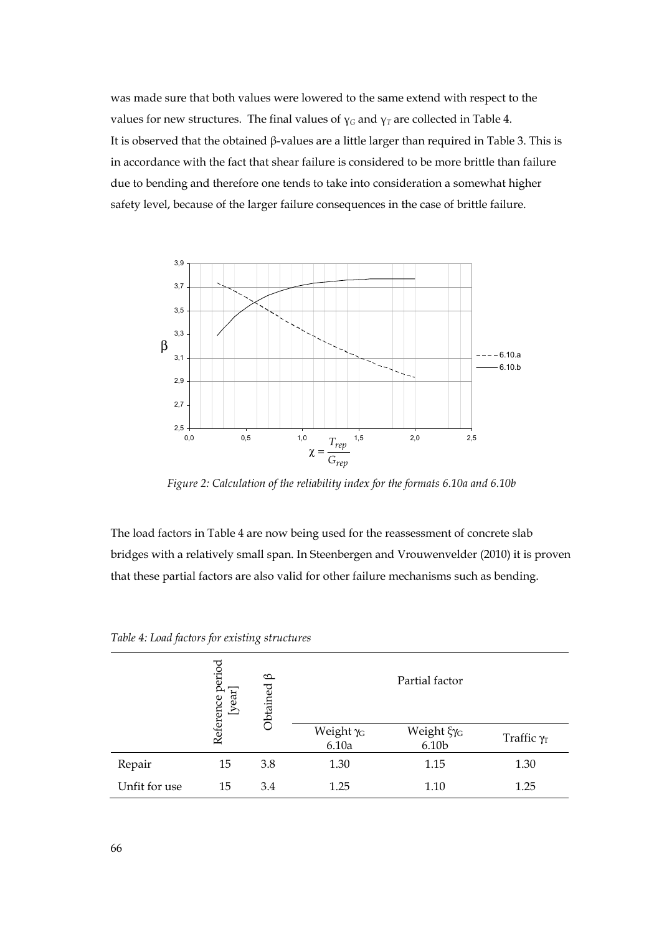was made sure that both values were lowered to the same extend with respect to the values for new structures. The final values of  $\gamma_G$  and  $\gamma_T$  are collected in Table 4. It is observed that the obtained β-values are a little larger than required in Table 3. This is in accordance with the fact that shear failure is considered to be more brittle than failure due to bending and therefore one tends to take into consideration a somewhat higher safety level, because of the larger failure consequences in the case of brittle failure.



*Figure 2: Calculation of the reliability index for the formats 6.10a and 6.10b* 

The load factors in Table 4 are now being used for the reassessment of concrete slab bridges with a relatively small span. In Steenbergen and Vrouwenvelder (2010) it is proven that these partial factors are also valid for other failure mechanisms such as bending.

|               | Reference period<br>[year] | $\circ$<br>Obtained |                                | Partial factor                  |                    |  |  |  |
|---------------|----------------------------|---------------------|--------------------------------|---------------------------------|--------------------|--|--|--|
|               |                            |                     | Weight γ <sub>G</sub><br>6.10a | Weight ξγ <sub>G</sub><br>6.10b | Traffic $\gamma_T$ |  |  |  |
| Repair        | 15                         | 3.8                 | 1.30                           | 1.15                            | 1.30               |  |  |  |
| Unfit for use | 15                         | 3.4                 | 1.25                           | 1.10                            | 1.25               |  |  |  |

*Table 4: Load factors for existing structures*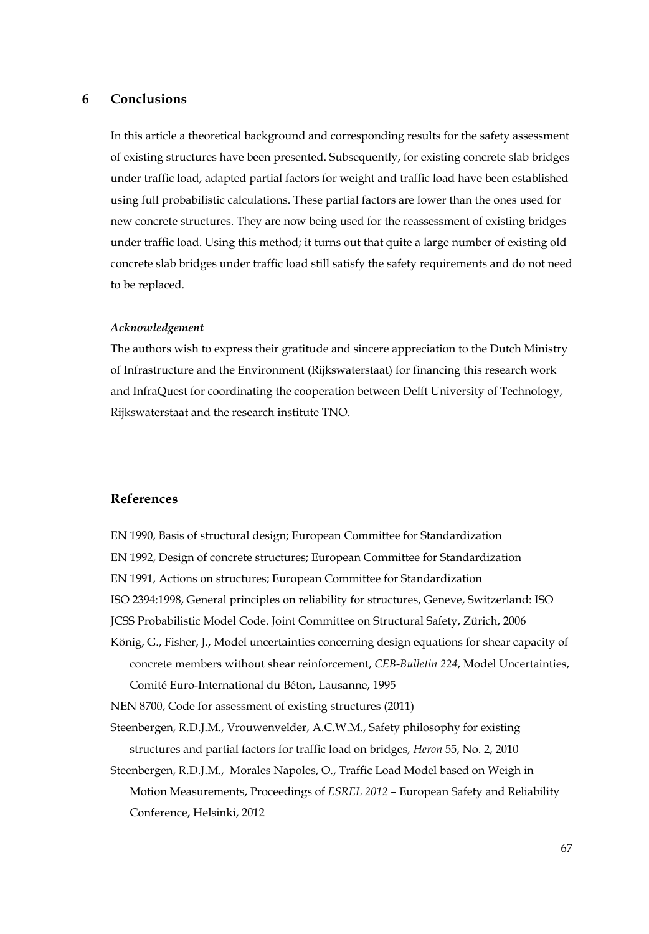# **6 Conclusions**

In this article a theoretical background and corresponding results for the safety assessment of existing structures have been presented. Subsequently, for existing concrete slab bridges under traffic load, adapted partial factors for weight and traffic load have been established using full probabilistic calculations. These partial factors are lower than the ones used for new concrete structures. They are now being used for the reassessment of existing bridges under traffic load. Using this method; it turns out that quite a large number of existing old concrete slab bridges under traffic load still satisfy the safety requirements and do not need to be replaced.

#### *Acknowledgement*

The authors wish to express their gratitude and sincere appreciation to the Dutch Ministry of Infrastructure and the Environment (Rijkswaterstaat) for financing this research work and InfraQuest for coordinating the cooperation between Delft University of Technology, Rijkswaterstaat and the research institute TNO.

## **References**

- EN 1990, Basis of structural design; European Committee for Standardization EN 1992, Design of concrete structures; European Committee for Standardization EN 1991, Actions on structures; European Committee for Standardization ISO 2394:1998, General principles on reliability for structures, Geneve, Switzerland: ISO JCSS Probabilistic Model Code. Joint Committee on Structural Safety, Zürich, 2006
- König, G., Fisher, J., Model uncertainties concerning design equations for shear capacity of concrete members without shear reinforcement, *CEB-Bulletin 224*, Model Uncertainties, Comité Euro-International du Béton, Lausanne, 1995

NEN 8700, Code for assessment of existing structures (2011)

Steenbergen, R.D.J.M., Vrouwenvelder, A.C.W.M., Safety philosophy for existing structures and partial factors for traffic load on bridges, *Heron* 55, No. 2, 2010

Steenbergen, R.D.J.M., Morales Napoles, O., Traffic Load Model based on Weigh in Motion Measurements, Proceedings of *ESREL 2012* – European Safety and Reliability Conference, Helsinki, 2012